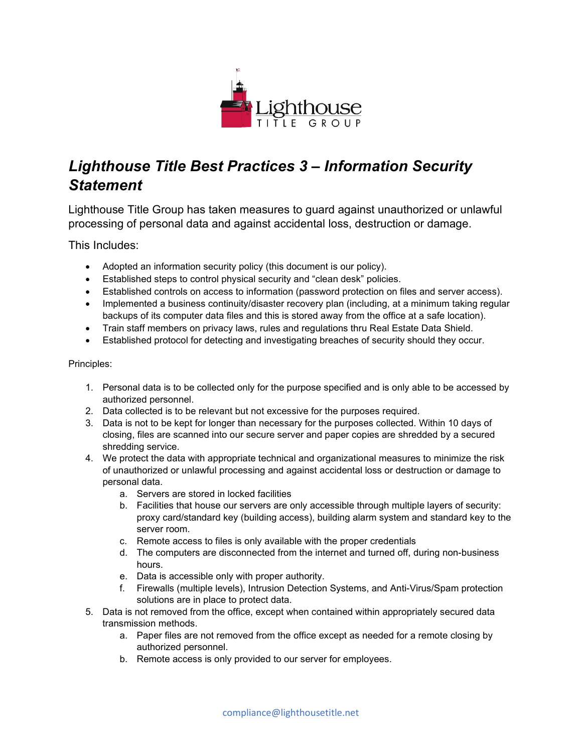

## *Lighthouse Title Best Practices 3 – Information Security Statement*

Lighthouse Title Group has taken measures to guard against unauthorized or unlawful processing of personal data and against accidental loss, destruction or damage.

This Includes:

- Adopted an information security policy (this document is our policy).
- Established steps to control physical security and "clean desk" policies.
- Established controls on access to information (password protection on files and server access).
- Implemented a business continuity/disaster recovery plan (including, at a minimum taking regular backups of its computer data files and this is stored away from the office at a safe location).
- Train staff members on privacy laws, rules and regulations thru Real Estate Data Shield.
- Established protocol for detecting and investigating breaches of security should they occur.

## Principles:

- 1. Personal data is to be collected only for the purpose specified and is only able to be accessed by authorized personnel.
- 2. Data collected is to be relevant but not excessive for the purposes required.
- 3. Data is not to be kept for longer than necessary for the purposes collected. Within 10 days of closing, files are scanned into our secure server and paper copies are shredded by a secured shredding service.
- 4. We protect the data with appropriate technical and organizational measures to minimize the risk of unauthorized or unlawful processing and against accidental loss or destruction or damage to personal data.
	- a. Servers are stored in locked facilities
	- b. Facilities that house our servers are only accessible through multiple layers of security: proxy card/standard key (building access), building alarm system and standard key to the server room.
	- c. Remote access to files is only available with the proper credentials
	- d. The computers are disconnected from the internet and turned off, during non-business hours.
	- e. Data is accessible only with proper authority.
	- f. Firewalls (multiple levels), Intrusion Detection Systems, and Anti-Virus/Spam protection solutions are in place to protect data.
- 5. Data is not removed from the office, except when contained within appropriately secured data transmission methods.
	- a. Paper files are not removed from the office except as needed for a remote closing by authorized personnel.
	- b. Remote access is only provided to our server for employees.